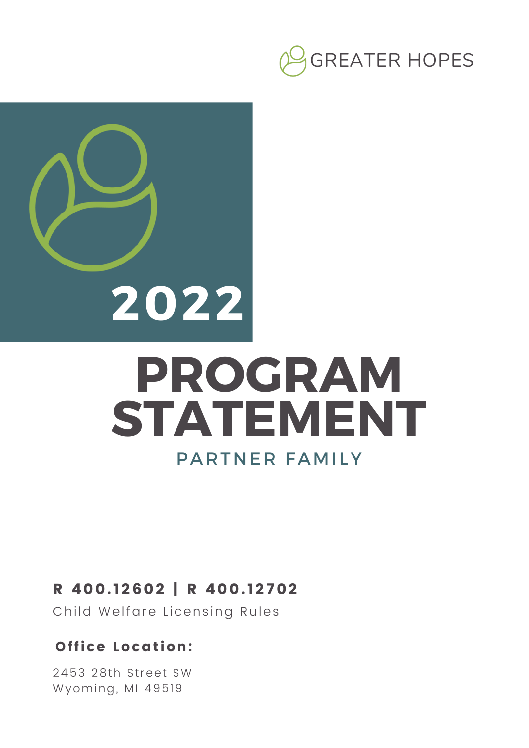



#### R 400. 12602 | R 400. 12702

Child Welfare Licensing Rules

#### Office Location:

2453 28th Street SW Wyoming, MI 49519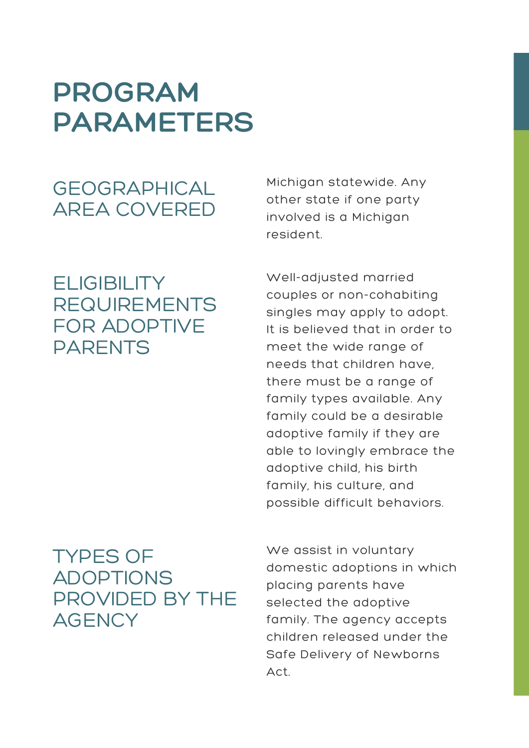## **PROGRAM PARAMETERS**

### GEOGRAPHICAL AREA COVERED

### **ELIGIBILITY** REQUIREMENTS FOR ADOPTIVE PARENTS

#### TYPES OF ADOPTIONS PROVIDED BY THE **AGENCY**

Michigan statewide. Any other state if one party involved is a Michigan resident.

Well-adjusted married couples or non-cohabiting singles may apply to adopt. It is believed that in order to meet the wide range of needs that children have, there must be a range of family types available. Any family could be a desirable adoptive family if they are able to lovingly embrace the adoptive child, his birth family, his culture, and possible difficult behaviors.

We assist in voluntary domestic adoptions in which placing parents have selected the adoptive family. The agency accepts children released under the Safe Delivery of Newborns Act.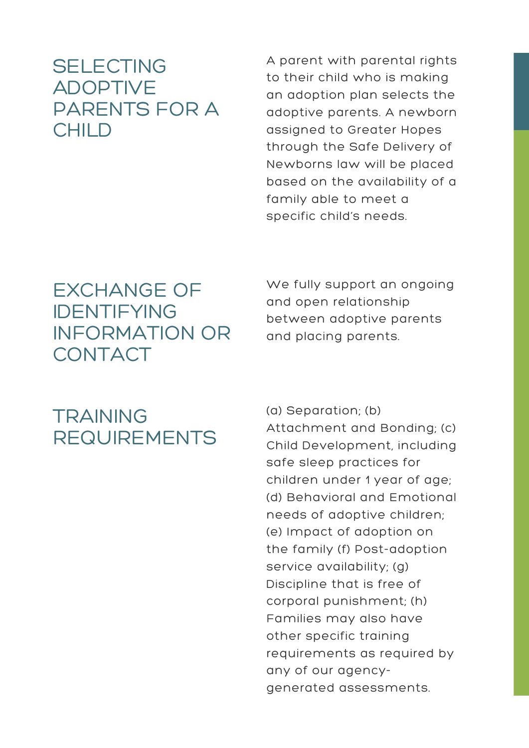### **SELECTING** ADOPTIVE PARENTS FOR A CHILD

A parent with parental rights to their child who is making an adoption plan selects the adoptive parents. A newborn assigned to Greater Hopes through the Safe Delivery of Newborns law will be placed based on the availability of a family able to meet a specific child's needs.

### EXCHANGE OF IDENTIFYING INFORMATION OR CONTACT

We fully support an ongoing and open relationship between adoptive parents and placing parents.

### **TRAINING** REQUIREMENTS

(a) Separation; (b) Attachment and Bonding; (c) Child Development, including safe sleep practices for children under 1 year of age; (d) Behavioral and Emotional needs of adoptive children; (e) Impact of adoption on the family (f) Post-adoption service availability; (g) Discipline that is free of corporal punishment; (h) Families may also have other specific training requirements as required by any of our agencygenerated assessments.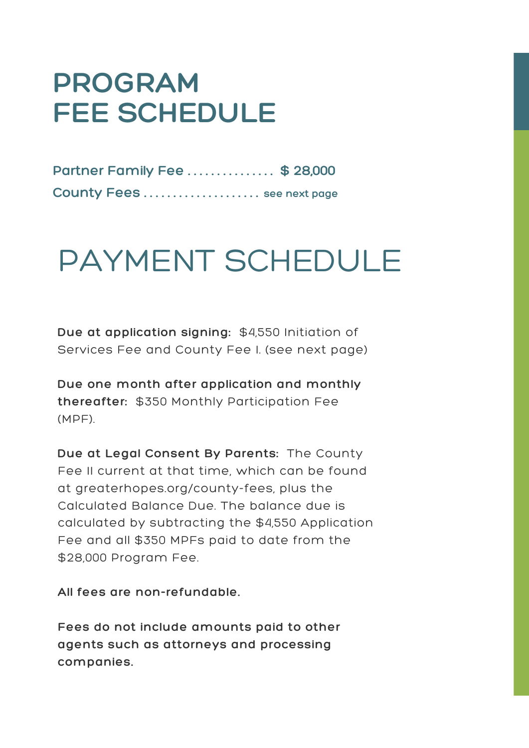## **PROGRAM FEE SCHEDULE**

| Partner Family Fee \$ 28,000 |  |
|------------------------------|--|
| County Fees  see next page   |  |

# PAYMENT SCHEDULE

**Due at application signing:** \$4,550 Initiation of Services Fee and County Fee I. (see next page)

**Due one month after application and monthly thereafter:** \$350 Monthly Participation Fee (MPF).

**Due at Legal Consent By Parents:** The County Fee II current at that time, which can be found at greaterhopes.org/county-fees, plus the Calculated Balance Due. The balance due is calculated by subtracting the \$4,550 Application Fee and all \$350 MPFs paid to date from the \$28,000 Program Fee.

**All fees are non-refundable.**

**Fees do not include amounts paid to other agents such as attorneys and processing companies.**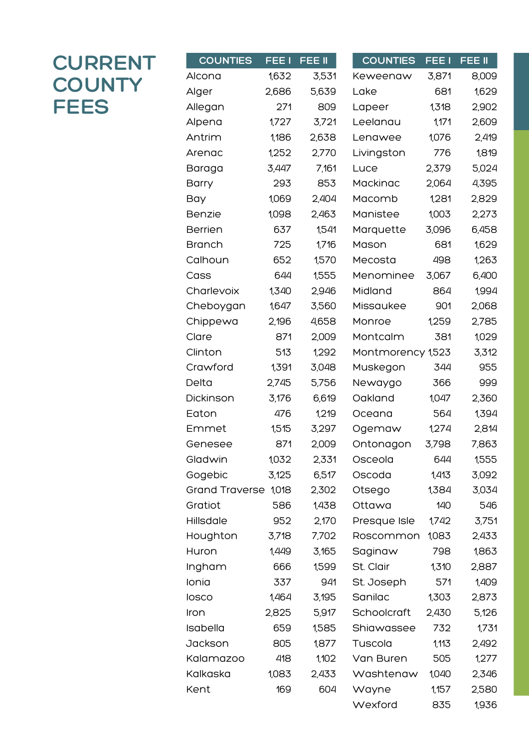### **CURRENT COUNTY FEES**

| <b>COUNTIES</b>       | FEE I | FEE II | <b>COUNTIES</b>   | FEE <sub>I</sub> | FEE II |
|-----------------------|-------|--------|-------------------|------------------|--------|
| Alcona                | 1,632 | 3,531  | Keweenaw          | 3,871            | 8,009  |
| Alger                 | 2,686 | 5,639  | Lake              | 681              | 1,629  |
| Allegan               | 271   | 809    | Lapeer            | 1,318            | 2,902  |
| Alpena                | 1,727 | 3,721  | Leelanau          | 1,171            | 2,609  |
| Antrim                | 1,186 | 2,638  | Lenawee           | 1,076            | 2,419  |
| Arenac                | 1,252 | 2,770  | Livingston        | 776              | 1,819  |
| Baraga                | 3,447 | 7,161  | Luce              | 2,379            | 5,024  |
| Barry                 | 293   | 853    | Mackinac          | 2,064            | 4,395  |
| Bay                   | 1,069 | 2,404  | Macomb            | 1,281            | 2,829  |
| Benzie                | 1,098 | 2,463  | Manistee          | 1,003            | 2,273  |
| <b>Berrien</b>        | 637   | 1,541  | Marquette         | 3,096            | 6,458  |
| <b>Branch</b>         | 725   | 1,716  | Mason             | 681              | 1,629  |
| Calhoun               | 652   | 1,570  | Mecosta           | 498              | 1,263  |
| Cass                  | 644   | 1,555  | Menominee         | 3,067            | 6,400  |
| Charlevoix            | 1,340 | 2,946  | Midland           | 864              | 1,994  |
| Cheboygan             | 1,647 | 3,560  | Missaukee         | 901              | 2,068  |
| Chippewa              | 2,196 | 4,658  | Monroe            | 1,259            | 2,785  |
| Clare                 | 871   | 2,009  | Montcalm          | 381              | 1,029  |
| Clinton               | 513   | 1,292  | Montmorency 1,523 |                  | 3,312  |
| Crawford              | 1,391 | 3,048  | Muskegon          | 344              | 955    |
| Delta                 | 2,745 | 5,756  | Newaygo           | 366              | 999    |
| Dickinson             | 3,176 | 6,619  | Oakland           | 1,047            | 2,360  |
| Eaton                 | 476   | 1,219  | Oceana            | 564              | 1,394  |
| Emmet                 | 1,515 | 3,297  | Ogemaw            | 1,274            | 2,814  |
| Genesee               | 871   | 2,009  | Ontonagon         | 3,798            | 7,863  |
| Gladwin               | 1,032 | 2,331  | Osceola           | 644              | 1,555  |
| Gogebic               | 3,125 | 6,517  | Oscoda            | 1,413            | 3,092  |
| <b>Grand Traverse</b> | 1,018 | 2,302  | Otsego            | 1,384            | 3,034  |
| Gratiot               | 586   | 1,438  | Ottawa            | 140              | 546    |
| Hillsdale             | 952   | 2,170  | Presque Isle      | 1,742            | 3,751  |
| Houghton              | 3,718 | 7,702  | Roscommon         | 1,083            | 2,433  |
| Huron                 | 1,449 | 3,165  | Saginaw           | 798              | 1,863  |
| Ingham                | 666   | 1,599  | St. Clair         | 1,310            | 2,887  |
| Ionia                 | 337   | 941    | St. Joseph        | 571              | 1,409  |
| losco                 | 1,464 | 3,195  | Sanilac           | 1,303            | 2,873  |
| Iron                  | 2,825 | 5,917  | Schoolcraft       | 2,430            | 5,126  |
| Isabella              | 659   | 1,585  | Shiawassee        | 732              | 1,731  |
| Jackson               | 805   | 1,877  | Tuscola           | 1,113            | 2,492  |
| Kalamazoo             | 418   | 1,102  | Van Buren         | 505              | 1,277  |
| Kalkaska              | 1,083 | 2,433  | Washtenaw         | 1,040            | 2,346  |
| Kent                  | 169   | 604    | Wayne             | 1,157            | 2,580  |
|                       |       |        | Wexford           | 835              | 1,936  |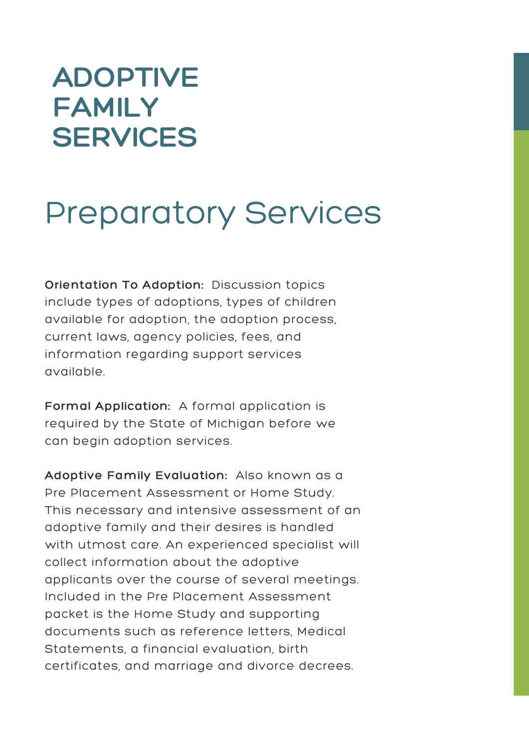## **ADOPTIVE FAMILY SERVICES**

## Preparatory Services

**Orientation To Adoption:** Discussion topics include types of adoptions, types of children available for adoption, the adoption process, current laws, agency policies, fees, and information regarding support services available.

**Formal Application:** A formal application is required by the State of Michigan before we can begin adoption services.

**Adoptive Family Evaluation:** Also known as a Pre Placement Assessment or Home Study. This necessary and intensive assessment of an adoptive family and their desires is handled with utmost care. An experienced specialist will collect information about the adoptive applicants over the course of several meetings. Included in the Pre Placement Assessment packet is the Home Study and supporting documents such as reference letters, Medical Statements, a financial evaluation, birth certificates, and marriage and divorce decrees.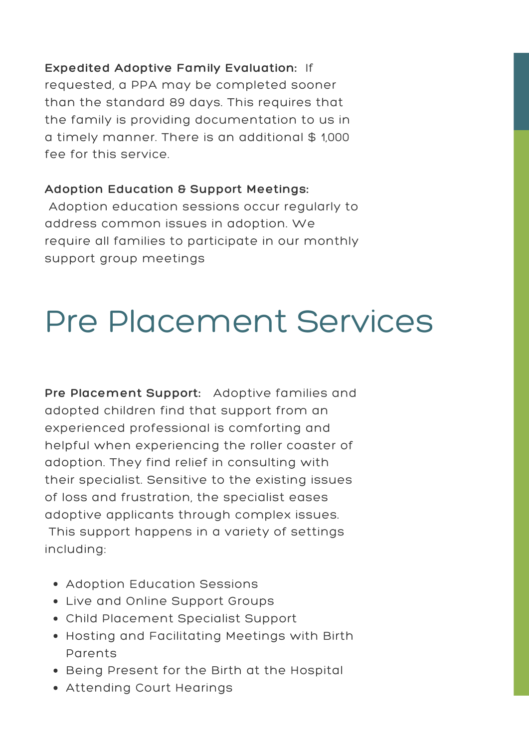**Expedited Adoptive Family Evaluation:** If requested, a PPA may be completed sooner than the standard 89 days. This requires that the family is providing documentation to us in a timely manner. There is an additional \$ 1,000 fee for this service.

#### **Adoption Education & Support Meetings:**

Adoption education sessions occur regularly to address common issues in adoption. We require all families to participate in our monthly support group meetings

# Pre Placement Services

**Pre Placement Support:** Adoptive families and adopted children find that support from an experienced professional is comforting and helpful when experiencing the roller coaster of adoption. They find relief in consulting with their specialist. Sensitive to the existing issues of loss and frustration, the specialist eases adoptive applicants through complex issues. This support happens in a variety of settings including:

- Adoption Education Sessions
- Live and Online Support Groups
- Child Placement Specialist Support
- Hosting and Facilitating Meetings with Birth Parents
- Being Present for the Birth at the Hospital
- Attending Court Hearings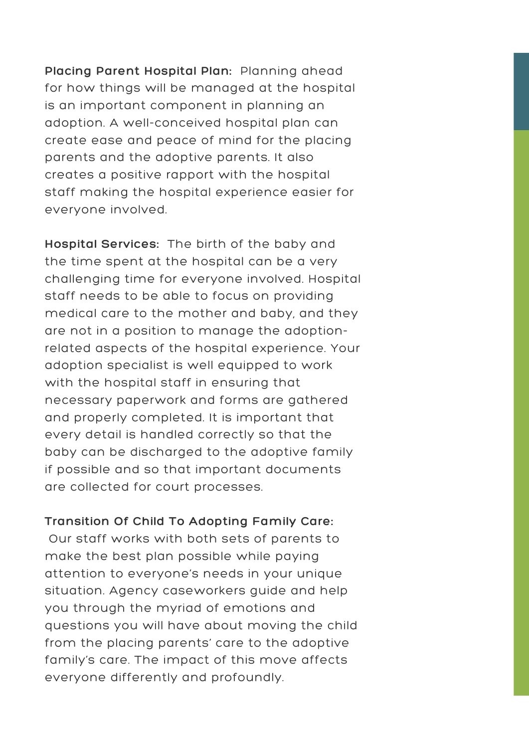**Placing Parent Hospital Plan:** Planning ahead for how things will be managed at the hospital is an important component in planning an adoption. A well-conceived hospital plan can create ease and peace of mind for the placing parents and the adoptive parents. It also creates a positive rapport with the hospital staff making the hospital experience easier for everyone involved.

**Hospital Services:** The birth of the baby and the time spent at the hospital can be a very challenging time for everyone involved. Hospital staff needs to be able to focus on providing medical care to the mother and baby, and they are not in a position to manage the adoptionrelated aspects of the hospital experience. Your adoption specialist is well equipped to work with the hospital staff in ensuring that necessary paperwork and forms are gathered and properly completed. It is important that every detail is handled correctly so that the baby can be discharged to the adoptive family if possible and so that important documents are collected for court processes.

#### **Transition Of Child To Adopting Family Care:**

Our staff works with both sets of parents to make the best plan possible while paying attention to everyone's needs in your unique situation. Agency caseworkers guide and help you through the myriad of emotions and questions you will have about moving the child from the placing parents' care to the adoptive family's care. The impact of this move affects everyone differently and profoundly.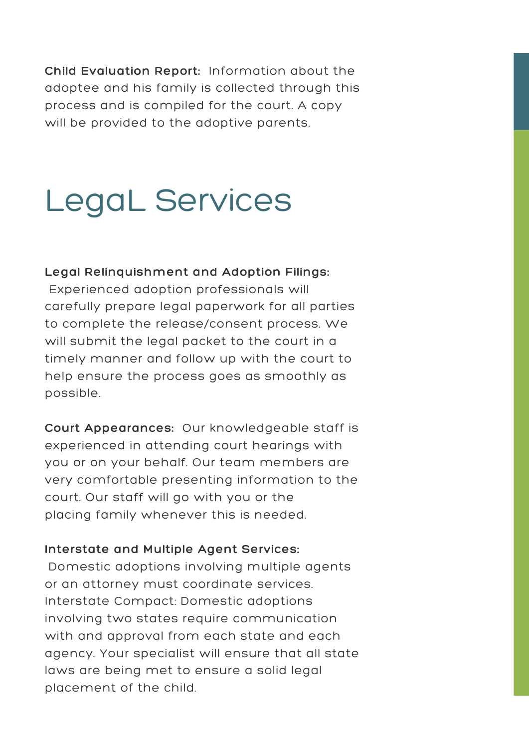**Child Evaluation Report:** Information about the adoptee and his family is collected through this process and is compiled for the court. A copy will be provided to the adoptive parents.

# LegaL Services

#### **Legal Relinquishment and Adoption Filings:**

Experienced adoption professionals will carefully prepare legal paperwork for all parties to complete the release/consent process. We will submit the legal packet to the court in a timely manner and follow up with the court to help ensure the process goes as smoothly as possible.

**Court Appearances:** Our knowledgeable staff is experienced in attending court hearings with you or on your behalf. Our team members are very comfortable presenting information to the court. Our staff will go with you or the placing family whenever this is needed.

#### **Interstate and Multiple Agent Services:**

Domestic adoptions involving multiple agents or an attorney must coordinate services. Interstate Compact: Domestic adoptions involving two states require communication with and approval from each state and each agency. Your specialist will ensure that all state laws are being met to ensure a solid legal placement of the child.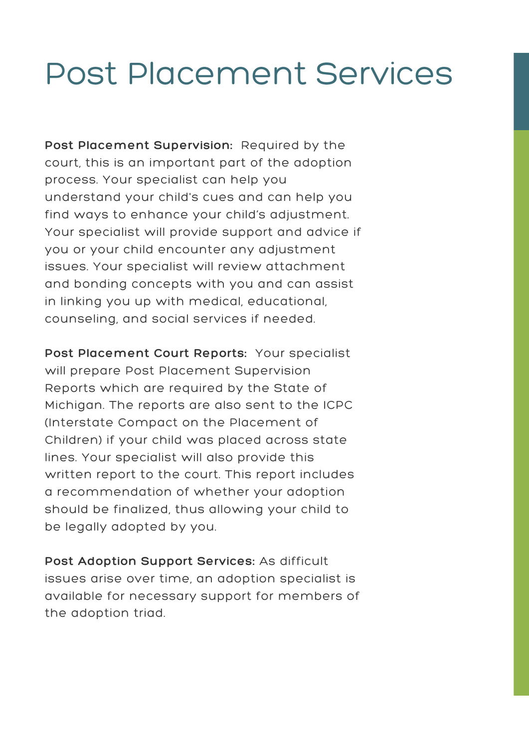## Post Placement Services

**Post Placement Supervision:** Required by the court, this is an important part of the adoption process. Your specialist can help you understand your child's cues and can help you find ways to enhance your child's adjustment. Your specialist will provide support and advice if you or your child encounter any adjustment issues. Your specialist will review attachment and bonding concepts with you and can assist in linking you up with medical, educational, counseling, and social services if needed.

**Post Placement Court Reports:** Your specialist will prepare Post Placement Supervision Reports which are required by the State of Michigan. The reports are also sent to the ICPC (Interstate Compact on the Placement of Children) if your child was placed across state lines. Your specialist will also provide this written report to the court. This report includes a recommendation of whether your adoption should be finalized, thus allowing your child to be legally adopted by you.

**Post Adoption Support Services:** As difficult issues arise over time, an adoption specialist is available for necessary support for members of the adoption triad.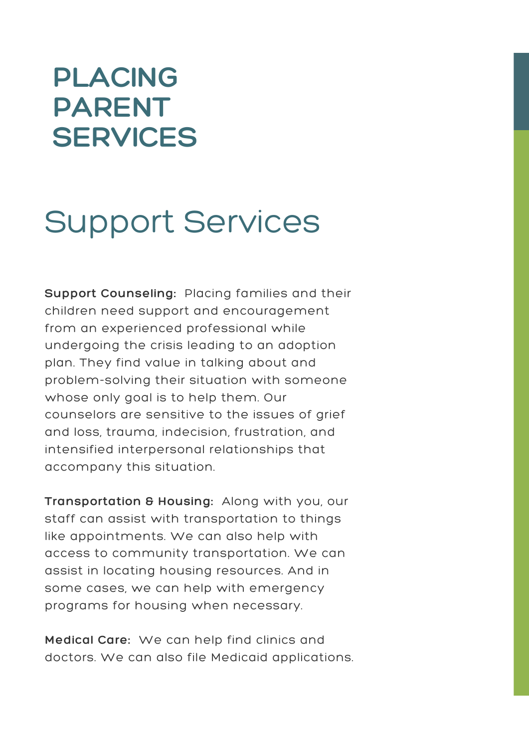## **PLACING PARENT SERVICES**

# Support Services

**Support Counseling:** Placing families and their children need support and encouragement from an experienced professional while undergoing the crisis leading to an adoption plan. They find value in talking about and problem-solving their situation with someone whose only goal is to help them. Our counselors are sensitive to the issues of grief and loss, trauma, indecision, frustration, and intensified interpersonal relationships that accompany this situation.

**Transportation & Housing:** Along with you, our staff can assist with transportation to things like appointments. We can also help with access to community transportation. We can assist in locating housing resources. And in some cases, we can help with emergency programs for housing when necessary.

**Medical Care:** We can help find clinics and doctors. We can also file Medicaid applications.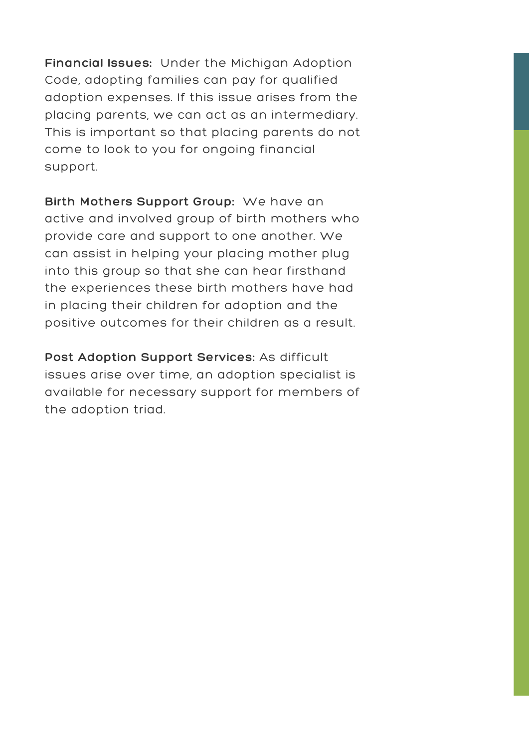**Financial Issues:** Under the Michigan Adoption Code, adopting families can pay for qualified adoption expenses. If this issue arises from the placing parents, we can act as an intermediary. This is important so that placing parents do not come to look to you for ongoing financial support.

**Birth Mothers Support Group:** We have an active and involved group of birth mothers who provide care and support to one another. We can assist in helping your placing mother plug into this group so that she can hear firsthand the experiences these birth mothers have had in placing their children for adoption and the positive outcomes for their children as a result.

**Post Adoption Support Services:** As difficult issues arise over time, an adoption specialist is available for necessary support for members of the adoption triad.